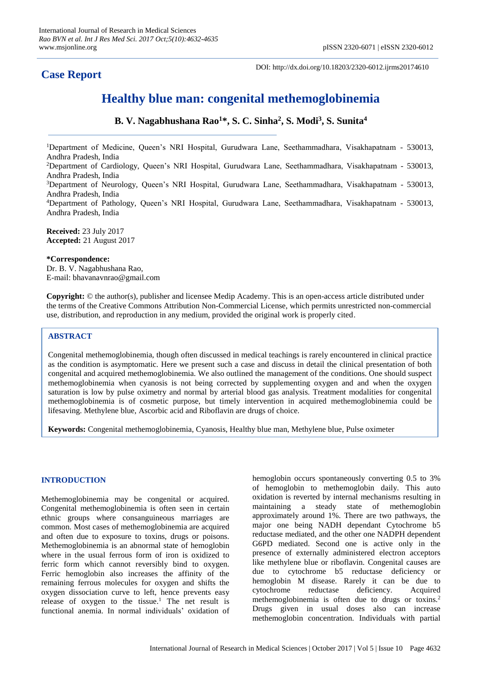## **Case Report**

DOI: http://dx.doi.org/10.18203/2320-6012.ijrms20174610

# **Healthy blue man: congenital methemoglobinemia**

**B. V. Nagabhushana Rao<sup>1</sup>\*, S. C. Sinha<sup>2</sup> , S. Modi<sup>3</sup> , S. Sunita<sup>4</sup>**

<sup>1</sup>Department of Medicine, Queen's NRI Hospital, Gurudwara Lane, Seethammadhara, Visakhapatnam - 530013, Andhra Pradesh, India <sup>2</sup>Department of Cardiology, Queen's NRI Hospital, Gurudwara Lane, Seethammadhara, Visakhapatnam - 530013, Andhra Pradesh, India

<sup>3</sup>Department of Neurology, Queen's NRI Hospital, Gurudwara Lane, Seethammadhara, Visakhapatnam - 530013, Andhra Pradesh, India

<sup>4</sup>Department of Pathology, Queen's NRI Hospital, Gurudwara Lane, Seethammadhara, Visakhapatnam - 530013, Andhra Pradesh, India

**Received:** 23 July 2017 **Accepted:** 21 August 2017

**\*Correspondence:**

Dr. B. V. Nagabhushana Rao, E-mail: bhavanavnrao@gmail.com

**Copyright:** © the author(s), publisher and licensee Medip Academy. This is an open-access article distributed under the terms of the Creative Commons Attribution Non-Commercial License, which permits unrestricted non-commercial use, distribution, and reproduction in any medium, provided the original work is properly cited.

## **ABSTRACT**

Congenital methemoglobinemia, though often discussed in medical teachings is rarely encountered in clinical practice as the condition is asymptomatic. Here we present such a case and discuss in detail the clinical presentation of both congenital and acquired methemoglobinemia. We also outlined the management of the conditions. One should suspect methemoglobinemia when cyanosis is not being corrected by supplementing oxygen and and when the oxygen saturation is low by pulse oximetry and normal by arterial blood gas analysis. Treatment modalities for congenital methemoglobinemia is of cosmetic purpose, but timely intervention in acquired methemoglobinemia could be lifesaving. Methylene blue, Ascorbic acid and Riboflavin are drugs of choice.

**Keywords:** Congenital methemoglobinemia, Cyanosis, Healthy blue man, Methylene blue, Pulse oximeter

## **INTRODUCTION**

Methemoglobinemia may be congenital or acquired. Congenital methemoglobinemia is often seen in certain ethnic groups where consanguineous marriages are common. Most cases of methemoglobinemia are acquired and often due to exposure to toxins, drugs or poisons. Methemoglobinemia is an abnormal state of hemoglobin where in the usual ferrous form of iron is oxidized to ferric form which cannot reversibly bind to oxygen. Ferric hemoglobin also increases the affinity of the remaining ferrous molecules for oxygen and shifts the oxygen dissociation curve to left, hence prevents easy release of oxygen to the tissue.<sup>1</sup> The net result is functional anemia. In normal individuals' oxidation of hemoglobin occurs spontaneously converting 0.5 to 3% of hemoglobin to methemoglobin daily. This auto oxidation is reverted by internal mechanisms resulting in maintaining a steady state of methemoglobin approximately around 1%. There are two pathways, the major one being NADH dependant Cytochrome b5 reductase mediated, and the other one NADPH dependent G6PD mediated. Second one is active only in the presence of externally administered electron acceptors like methylene blue or riboflavin. Congenital causes are due to cytochrome b5 reductase deficiency or hemoglobin M disease. Rarely it can be due to cytochrome reductase deficiency. Acquired methemoglobinemia is often due to drugs or toxins.<sup>2</sup> Drugs given in usual doses also can increase methemoglobin concentration. Individuals with partial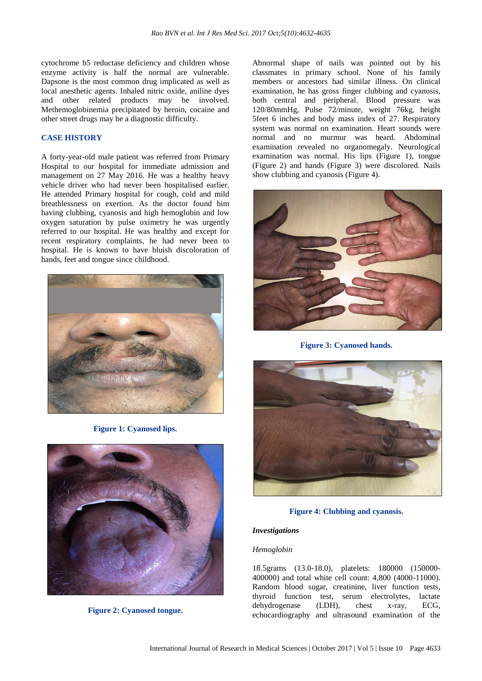cytochrome b5 reductase deficiency and children whose enzyme activity is half the normal are vulnerable. Dapsone is the most common drug implicated as well as local anesthetic agents. Inhaled nitric oxide, aniline dyes and other related products may be involved. Methemoglobinemia precipitated by heroin, cocaine and other street drugs may be a diagnostic difficulty.

## **CASE HISTORY**

A forty-year-old male patient was referred from Primary Hospital to our hospital for immediate admission and management on 27 May 2016. He was a healthy heavy vehicle driver who had never been hospitalised earlier. He attended Primary hospital for cough, cold and mild breathlessness on exertion. As the doctor found him having clubbing, cyanosis and high hemoglobin and low oxygen saturation by pulse oximetry he was urgently referred to our hospital. He was healthy and except for recent respiratory complaints, he had never been to hospital. He is known to have bluish discoloration of hands, feet and tongue since childhood.



**Figure 1: Cyanosed lips.**



**Figure 2: Cyanosed tongue.**

Abnormal shape of nails was pointed out by his classmates in primary school. None of his family members or ancestors had similar illness. On clinical examination, he has gross finger clubbing and cyanosis, both central and peripheral. Blood pressure was 120/80mmHg, Pulse 72/minute, weight 76kg, height 5feet 6 inches and body mass index of 27. Respiratory system was normal on examination. Heart sounds were normal and no murmur was heard. Abdominal examination revealed no organomegaly. Neurological examination was normal. His lips (Figure 1), tongue (Figure 2) and hands (Figure 3) were discolored. Nails show clubbing and cyanosis (Figure 4).



**Figure 3: Cyanosed hands.**



**Figure 4: Clubbing and cyanosis.**

#### *Investigations*

#### *Hemoglobin*

18.5grams (13.0-18.0), platelets: 180000 (150000- 400000) and total white cell count: 4,800 (4000-11000). Random blood sugar, creatinine, liver function tests, thyroid function test, serum electrolytes, lactate dehydrogenase (LDH), chest x-ray, ECG, echocardiography and ultrasound examination of the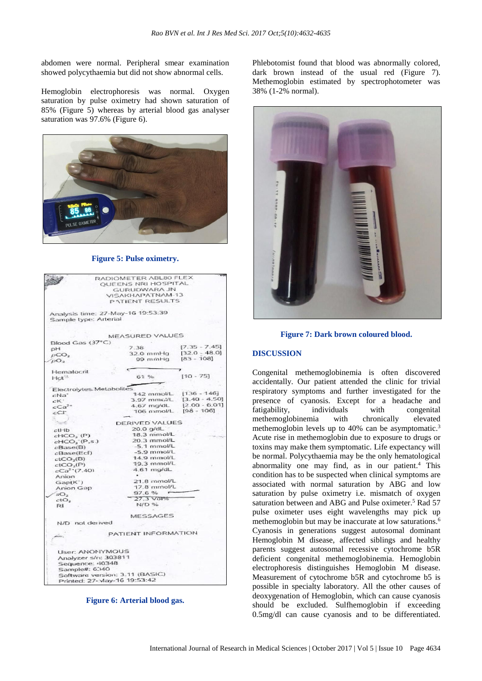abdomen were normal. Peripheral smear examination showed polycythaemia but did not show abnormal cells.

Hemoglobin electrophoresis was normal. Oxygen saturation by pulse oximetry had shown saturation of 85% (Figure 5) whereas by arterial blood gas analyser saturation was 97.6% (Figure 6).



#### **Figure 5: Pulse oximetry.**

|                                                          | RADIOMETER ABL80 FLEX                                         |                 |
|----------------------------------------------------------|---------------------------------------------------------------|-----------------|
|                                                          | <b>OUEENS NRI HOSPITAL</b>                                    |                 |
|                                                          | <b>GURUDWARA JN</b>                                           |                 |
|                                                          | VISAKHAPATNAM-13                                              |                 |
|                                                          | PATIENT RESULTS                                               |                 |
|                                                          |                                                               |                 |
|                                                          | Analysis time: 27-May-16 19:53:39                             |                 |
| Sample type: Arterial                                    |                                                               |                 |
|                                                          |                                                               |                 |
|                                                          | MEASURED VALUES                                               |                 |
| Blood Gas (37°C)                                         | 7.38                                                          | $[7.35 - 7.45]$ |
| pH                                                       |                                                               | $[32.0 - 48.0]$ |
| DCO <sub>2</sub>                                         | $32.0$ mmHq                                                   | $[83 - 108]$    |
| DO <sub>2</sub>                                          | 99 minhig                                                     |                 |
| Hematocrit                                               |                                                               |                 |
| $HCl^{55}$                                               | 61%                                                           | $[10 - 75]$     |
|                                                          |                                                               |                 |
| Electrolytes Metabolites                                 |                                                               |                 |
| $c$ Na"                                                  | $142$ mmol/L                                                  | $[136 - 146]$   |
| cK'                                                      | $3.97$ mmo <sup>y</sup> L                                     | $[3.40 - 4.50]$ |
| $cCa2+$                                                  | $4.67$ mo/dL                                                  | $[2.00 - 6.01]$ |
| cCT                                                      | 106 mmol/L [98 - 106]                                         |                 |
|                                                          |                                                               |                 |
| <b>Track</b>                                             | DERIVED VALUES                                                |                 |
| $c$ <sub>t</sub> $+$ ib                                  | $20.0$ $q/dL$                                                 |                 |
| $cHCO3$ (P)                                              | 18.3 mmol/L                                                   |                 |
| $cHCO3-(P,s.)$                                           | $20.3$ mmol/L                                                 |                 |
| cBase(B)                                                 | $-5.1$ mmol/L                                                 |                 |
| cBase(Ecf)                                               | $-5.9$ mmol/L                                                 |                 |
| ctCO <sub>2</sub> (B)                                    | 14.9 mmol/L                                                   |                 |
| $c$ t $COx(P)$                                           | 19.3 mmol/L                                                   |                 |
| cCa <sup>2</sup> (7.40)                                  | 4.61 mg/dL                                                    |                 |
| Anian                                                    |                                                               |                 |
|                                                          | $21.8$ mmol/L                                                 |                 |
| $Gap(K^*)$                                               | 17.8 mmol/L                                                   |                 |
| Anion Gap                                                | 97.6%                                                         |                 |
| SO <sub>2</sub>                                          | 27.3 Vol%                                                     |                 |
| $c_1O_2$                                                 |                                                               |                 |
| RI.                                                      | N/D %                                                         |                 |
|                                                          | <b>MESSAGES</b>                                               |                 |
| N/D not derived                                          |                                                               |                 |
|                                                          | PATIENT INFORMATION                                           |                 |
|                                                          |                                                               |                 |
| User: ANONYMOUS                                          |                                                               |                 |
|                                                          |                                                               |                 |
|                                                          |                                                               |                 |
|                                                          |                                                               |                 |
|                                                          |                                                               |                 |
|                                                          |                                                               |                 |
| Analyzer s/n: 303811<br>Sequence: 40348<br>Sample#: 6340 | Software version: 3.11 (BASIC)<br>Printed: 27-May-16 19:53:42 |                 |

**Figure 6: Arterial blood gas.**

Phlebotomist found that blood was abnormally colored, dark brown instead of the usual red (Figure 7). Methemoglobin estimated by spectrophotometer was 38% (1-2% normal).





## **DISCUSSION**

Congenital methemoglobinemia is often discovered accidentally. Our patient attended the clinic for trivial respiratory symptoms and further investigated for the presence of cyanosis. Except for a headache and fatigability, individuals with congenital methemoglobinemia with chronically elevated methemoglobin levels up to 40% can be asymptomatic.<sup>3</sup> Acute rise in methemoglobin due to exposure to drugs or toxins may make them symptomatic. Life expectancy will be normal. Polycythaemia may be the only hematological abnormality one may find, as in our patient. <sup>4</sup> This condition has to be suspected when clinical symptoms are associated with normal saturation by ABG and low saturation by pulse oximetry i.e. mismatch of oxygen saturation between and ABG and Pulse oximeter. <sup>5</sup> Rad 57 pulse oximeter uses eight wavelengths may pick up methemoglobin but may be inaccurate at low saturations.<sup>6</sup> Cyanosis in generations suggest autosomal dominant Hemoglobin M disease, affected siblings and healthy parents suggest autosomal recessive cytochrome b5R deficient congenital methemoglobinemia. Hemoglobin electrophoresis distinguishes Hemoglobin M disease. Measurement of cytochrome b5R and cytochrome b5 is possible in specialty laboratory. All the other causes of deoxygenation of Hemoglobin, which can cause cyanosis should be excluded. Sulfhemoglobin if exceeding 0.5mg/dl can cause cyanosis and to be differentiated.